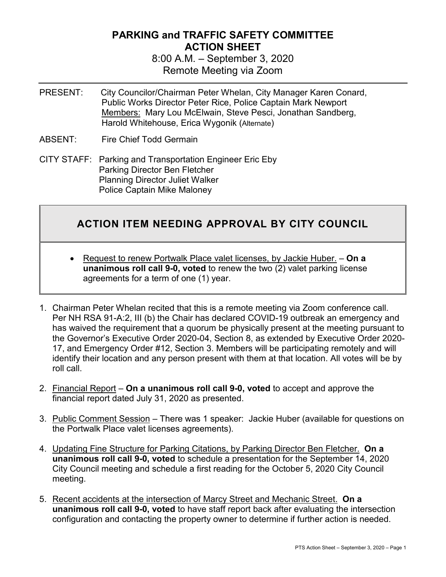## **PARKING and TRAFFIC SAFETY COMMITTEE ACTION SHEET**

8:00 A.M. – September 3, 2020 Remote Meeting via Zoom

- PRESENT: City Councilor/Chairman Peter Whelan, City Manager Karen Conard, Public Works Director Peter Rice, Police Captain Mark Newport Members: Mary Lou McElwain, Steve Pesci, Jonathan Sandberg, Harold Whitehouse, Erica Wygonik (Alternate)
- ABSENT: Fire Chief Todd Germain
- CITY STAFF: Parking and Transportation Engineer Eric Eby Parking Director Ben Fletcher Planning Director Juliet Walker Police Captain Mike Maloney

## **ACTION ITEM NEEDING APPROVAL BY CITY COUNCIL**

- Request to renew Portwalk Place valet licenses, by Jackie Huber. **On a unanimous roll call 9-0, voted** to renew the two (2) valet parking license agreements for a term of one (1) year.
- 1. Chairman Peter Whelan recited that this is a remote meeting via Zoom conference call. Per NH RSA 91-A:2, III (b) the Chair has declared COVID-19 outbreak an emergency and has waived the requirement that a quorum be physically present at the meeting pursuant to the Governor's Executive Order 2020-04, Section 8, as extended by Executive Order 2020- 17, and Emergency Order #12, Section 3. Members will be participating remotely and will identify their location and any person present with them at that location. All votes will be by roll call.
- 2. Financial Report **On a unanimous roll call 9-0, voted** to accept and approve the financial report dated July 31, 2020 as presented.
- 3. Public Comment Session There was 1 speaker: Jackie Huber (available for questions on the Portwalk Place valet licenses agreements).
- 4. Updating Fine Structure for Parking Citations, by Parking Director Ben Fletcher. **On a unanimous roll call 9-0, voted** to schedule a presentation for the September 14, 2020 City Council meeting and schedule a first reading for the October 5, 2020 City Council meeting.
- 5. Recent accidents at the intersection of Marcy Street and Mechanic Street. **On a unanimous roll call 9-0, voted** to have staff report back after evaluating the intersection configuration and contacting the property owner to determine if further action is needed.